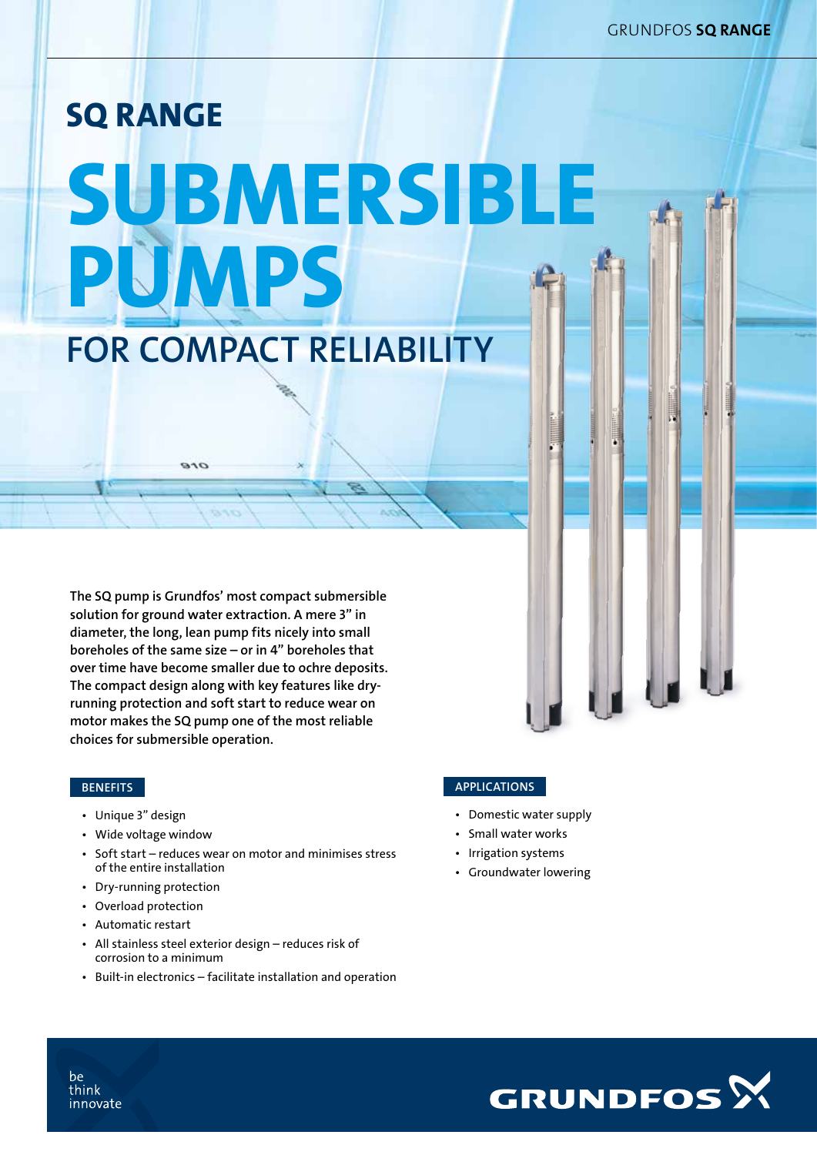# SQ RANGE SUBMERSIBLE PUMPS FOR COMPACT RELIABILITY

The SQ pump is Grundfos' most compact submersible solution for ground water extraction. A mere 3" in diameter, the long, lean pump fits nicely into small boreholes of the same size – or in 4" boreholes that over time have become smaller due to ochre deposits. The compact design along with key features like dryrunning protection and soft start to reduce wear on motor makes the SQ pump one of the most reliable choices for submersible operation.

 $\overline{O}$ 

## **BENEFITS**

- Unique 3" design
- Wide voltage window
- Soft start reduces wear on motor and minimises stress of the entire installation
- Dry-running protection
- Overload protection
- • Automatic restart
- All stainless steel exterior design reduces risk of corrosion to a minimum
- Built-in electronics facilitate installation and operation

#### **APPLICATIONS**

- Domestic water supply
- Small water works
- Irrigation systems
- Groundwater lowering



be think innovate